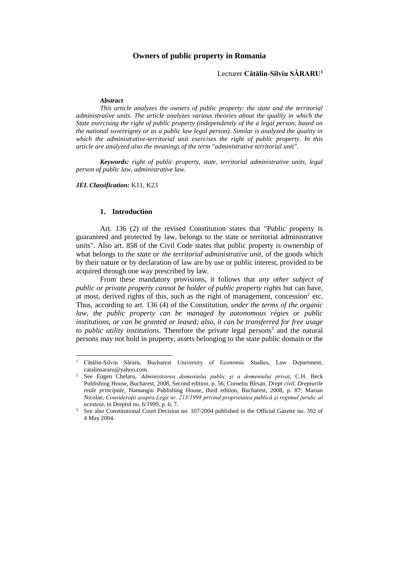# **Owners of public property in Romania**

## Lecturer **Cătălin-Silviu SĂRARU<sup>1</sup>**

### *Abstract*

*This article analyzes the owners of public property: the state and the territorial administrative units. The article analyzes various theories about the quality in which the State exercising the right of public property (independently of the a legal person, based on the national sovereignty or as a public law legal person). Similar is analyzed the quality in which the administrative-territorial unit exercises the right of public property. In this article are analyzed also the meanings of the term "administrative territorial unit".* 

*Keywords: right of public property, state, territorial administrative units, legal person of public law, administrative law.*

*JEL Classification:* K11, K23

 $\overline{\phantom{a}}$ 

## **1. Introduction**

Art. 136 (2) of the revised Constitution states that "Public property is guaranteed and protected by law, belongs to the state or territorial administrative units". Also art. 858 of the Civil Code states that public property is ownership of what belongs to *the state or the territorial administrative unit*, of the goods which by their nature or by declaration of law are by use or public interest, provided to be acquired through one way prescribed by law.

From these mandatory provisions, it follows that *any other subject of public or private property cannot be holder of public property rights* but can have, at most, derived rights of this, such as the right of management, concession<sup>2</sup> etc. Thus, according to art. 136 (4) of the Constitution, *under the terms of the organic law, the public property can be managed by autonomous régies or public institutions, or can be granted or leased; also, it can be transferred for free usage*  to public utility institutions. Therefore the private legal persons<sup>3</sup> and the natural persons may not hold in property, assets belonging to the state public domain or the

<sup>1</sup> Cătălin-Silviu Săraru, Bucharest University of Economic Studies, Law Department, catalinsararu@yahoo.com.

<sup>2</sup> See Eugen Chelaru, *Administrarea domeniului public şi a domeniului privat*, C.H. Beck Publishing House, Bucharest, 2008, Second edition, p. 56; Corneliu Bîrsan, *Drept civil. Drepturile reale principale*, Hamangiu Publishing House, third edition, Bucharest, 2008, p. 87; Marian Nicolae, *Consideraţii asupra Legii nr. 213/1998 privind proprietatea publică şi regimul juridic al acesteia*, in Dreptul no. 6/1999, p. 6, 7.

See also Constitutional Court Decision no. 107/2004 published in the Official Gazette no. 392 of 4 May 2004.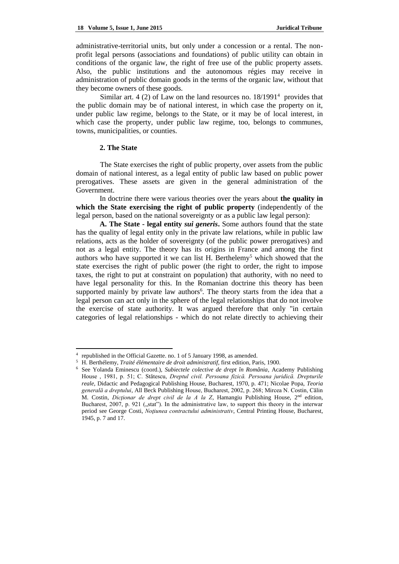administrative-territorial units, but only under a concession or a rental. The nonprofit legal persons (associations and foundations) of public utility can obtain in conditions of the organic law, the right of free use of the public property assets. Also, the public institutions and the autonomous régies may receive in administration of public domain goods in the terms of the organic law, without that they become owners of these goods.

Similar art. 4 (2) of Law on the land resources no.  $18/1991<sup>4</sup>$  provides that the public domain may be of national interest, in which case the property on it, under public law regime, belongs to the State, or it may be of local interest, in which case the property, under public law regime, too, belongs to communes, towns, municipalities, or counties.

## **2. The State**

 $\overline{\phantom{a}}$ 

The State exercises the right of public property, over assets from the public domain of national interest, as a legal entity of public law based on public power prerogatives. These assets are given in the general administration of the Government.

In doctrine there were various theories over the years about **the quality in which the State exercising the right of public property** (independently of the legal person, based on the national sovereignty or as a public law legal person):

**A. The State - legal entity** *sui generis***.** Some authors found that the state has the quality of legal entity only in the private law relations, while in public law relations, acts as the holder of sovereignty (of the public power prerogatives) and not as a legal entity. The theory has its origins in France and among the first authors who have supported it we can list H. Berthelemy<sup>5</sup> which showed that the state exercises the right of public power (the right to order, the right to impose taxes, the right to put at constraint on population) that authority, with no need to have legal personality for this. In the Romanian doctrine this theory has been supported mainly by private law authors<sup>6</sup>. The theory starts from the idea that a legal person can act only in the sphere of the legal relationships that do not involve the exercise of state authority. It was argued therefore that only "in certain categories of legal relationships - which do not relate directly to achieving their

<sup>4</sup> republished in the Official Gazette. no. 1 of 5 January 1998, as amended.

<sup>5</sup> H. Berthélemy, *Traité élémentaire de droit administratif*, first edition, Paris, 1900.

<sup>6</sup> See Yolanda Eminescu (coord.), *Subiectele colective de drept în România*, Academy Publishing House , 1981, p. 51; C. Stătescu, *Dreptul civil. Persoana fizică. Persoana juridică. Drepturile reale*, Didactic and Pedagogical Publishing House, Bucharest, 1970, p. 471; Nicolae Popa, *Teoria generală a dreptului*, All Beck Publishing House, Bucharest, 2002, p. 268; Mircea N. Costin, Călin M. Costin, *Dicţionar de drept civil de la A la Z*, Hamangiu Publishing House, 2nd edition, Bucharest, 2007, p. 921  $($  $,$ stat''). In the administrative law, to support this theory in the interwar period see George Costi, *Noţiunea contractului administrativ*, Central Printing House, Bucharest, 1945, p. 7 and 17.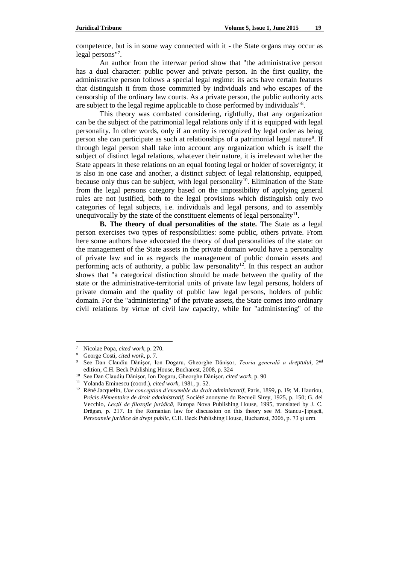competence, but is in some way connected with it - the State organs may occur as legal persons"<sup>7</sup>.

An author from the interwar period show that "the administrative person has a dual character: public power and private person. In the first quality, the administrative person follows a special legal regime: its acts have certain features that distinguish it from those committed by individuals and who escapes of the censorship of the ordinary law courts. As a private person, the public authority acts are subject to the legal regime applicable to those performed by individuals"<sup>8</sup>.

This theory was combated considering, rightfully, that any organization can be the subject of the patrimonial legal relations only if it is equipped with legal personality. In other words, only if an entity is recognized by legal order as being person she can participate as such at relationships of a patrimonial legal nature<sup>9</sup>. If through legal person shall take into account any organization which is itself the subject of distinct legal relations, whatever their nature, it is irrelevant whether the State appears in these relations on an equal footing legal or holder of sovereignty; it is also in one case and another, a distinct subject of legal relationship, equipped, because only thus can be subject, with legal personality<sup>10</sup>. Elimination of the State from the legal persons category based on the impossibility of applying general rules are not justified, both to the legal provisions which distinguish only two categories of legal subjects, i.e. individuals and legal persons, and to assembly unequivocally by the state of the constituent elements of legal personality $^{11}$ .

**B. The theory of dual personalities of the state.** The State as a legal person exercises two types of responsibilities: some public, others private. From here some authors have advocated the theory of dual personalities of the state: on the management of the State assets in the private domain would have a personality of private law and in as regards the management of public domain assets and performing acts of authority, a public law personality<sup>12</sup>. In this respect an author shows that "a categorical distinction should be made between the quality of the state or the administrative-territorial units of private law legal persons, holders of private domain and the quality of public law legal persons, holders of public domain. For the "administering" of the private assets, the State comes into ordinary civil relations by virtue of civil law capacity, while for "administering" of the

 $\overline{a}$ 

<sup>7</sup> Nicolae Popa, *cited work*, p. 270.

<sup>8</sup> George Costi, *cited work*, p. 7.

<sup>9</sup> See Dan Claudiu Dănişor, Ion Dogaru, Gheorghe Dănişor, *Teoria generală a dreptului*, 2nd edition, C.H. Beck Publishing House, Bucharest, 2008, p. 324

<sup>10</sup> See Dan Claudiu Dănişor, Ion Dogaru, Gheorghe Dănişor, *cited work*, p. 90

<sup>11</sup> Yolanda Eminescu (coord.), *cited work*, 1981, p. 52.

<sup>12</sup> Réné Jacquelin, *Une conception d'ensemble du droit administratif*, Paris, 1899, p. 19; M. Hauriou, *Précis élémentaire de droit administratif*, Société anonyme du Recueil Sirey, 1925, p. 150; G. del Vecchio, *Lecţii de filozofie juridică,* Europa Nova Publishing House, 1995, translated by J. C. Drăgan, p. 217. In the Romanian law for discussion on this theory see M. Stancu-Ţipişcă, *Persoanele juridice de drept public*, C.H. Beck Publishing House, Bucharest, 2006, p. 73 şi urm.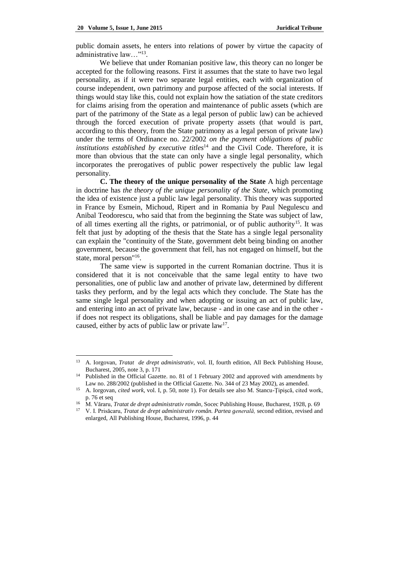public domain assets, he enters into relations of power by virtue the capacity of administrative law..."<sup>13</sup>.

We believe that under Romanian positive law, this theory can no longer be accepted for the following reasons. First it assumes that the state to have two legal personality, as if it were two separate legal entities, each with organization of course independent, own patrimony and purpose affected of the social interests. If things would stay like this, could not explain how the satiation of the state creditors for claims arising from the operation and maintenance of public assets (which are part of the patrimony of the State as a legal person of public law) can be achieved through the forced execution of private property assets (that would is part, according to this theory, from the State patrimony as a legal person of private law) under the terms of Ordinance no. 22/2002 *on the payment obligations of public institutions established by executive titles*<sup>14</sup> and the Civil Code. Therefore, it is more than obvious that the state can only have a single legal personality, which incorporates the prerogatives of public power respectively the public law legal personality.

**C. The theory of the unique personality of the State** A high percentage in doctrine has *the theory of the unique personality of the State*, which promoting the idea of existence just a public law legal personality. This theory was supported in France by Esmein, Michoud, Ripert and in Romania by Paul Negulescu and Anibal Teodorescu, who said that from the beginning the State was subject of law, of all times exerting all the rights, or patrimonial, or of public authority<sup>15</sup>. It was felt that just by adopting of the thesis that the State has a single legal personality can explain the "continuity of the State, government debt being binding on another government, because the government that fell, has not engaged on himself, but the state, moral person"<sup>16</sup>.

The same view is supported in the current Romanian doctrine. Thus it is considered that it is not conceivable that the same legal entity to have two personalities, one of public law and another of private law, determined by different tasks they perform, and by the legal acts which they conclude. The State has the same single legal personality and when adopting or issuing an act of public law, and entering into an act of private law, because - and in one case and in the other if does not respect its obligations, shall be liable and pay damages for the damage caused, either by acts of public law or private  $law<sup>17</sup>$ .

<sup>13</sup> <sup>13</sup> A. Iorgovan, *Tratat de drept administrativ*, vol. II, fourth edition, All Beck Publishing House, Bucharest, 2005, note 3, p. 171

<sup>&</sup>lt;sup>14</sup> Published in the Official Gazette. no. 81 of 1 February 2002 and approved with amendments by Law no. 288/2002 (published in the Official Gazette. No. 344 of 23 May 2002), as amended.

<sup>15</sup> A. Iorgovan, *cited work*, vol. I, p. 50, note 1). For details see also M. Stancu-Ţipişcă, cited work, p. 76 et seq

<sup>16</sup> M. Văraru, *Tratat de drept administrativ român*, Socec Publishing House, Bucharest, 1928, p. 69

<sup>17</sup> V. I. Prisăcaru, *Tratat de drept administrativ român. Partea generală,* second edition, revised and enlarged, All Publishing House, Bucharest, 1996, p. 44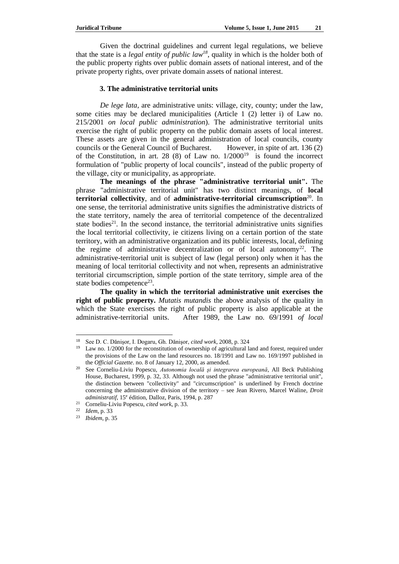Given the doctrinal guidelines and current legal regulations, we believe that the state is a *legal entity of public law<sup>18</sup>*, quality in which is the holder both of the public property rights over public domain assets of national interest, and of the private property rights, over private domain assets of national interest.

## **3. The administrative territorial units**

*De lege lata*, are administrative units: village, city, county; under the law, some cities may be declared municipalities (Article 1 (2) letter i) of Law no. 215/2001 *on local public administration*). The administrative territorial units exercise the right of public property on the public domain assets of local interest. These assets are given in the general administration of local councils, county councils or the General Council of Bucharest. However, in spite of art. 136 (2) of the Constitution, in art. 28 (8) of Law no.  $1/2000^{19}$  is found the incorrect formulation of "public property of local councils", instead of the public property of the village, city or municipality, as appropriate.

**The meanings of the phrase "administrative territorial unit".** The phrase "administrative territorial unit" has two distinct meanings, of **local territorial collectivity**, and of **administrative-territorial circumscription**<sup>20</sup>. In one sense, the territorial administrative units signifies the administrative districts of the state territory, namely the area of territorial competence of the decentralized state bodies<sup>21</sup>. In the second instance, the territorial administrative units signifies the local territorial collectivity, ie citizens living on a certain portion of the state territory, with an administrative organization and its public interests, local, defining the regime of administrative decentralization or of local autonomy<sup>22</sup>. The administrative-territorial unit is subject of law (legal person) only when it has the meaning of local territorial collectivity and not when, represents an administrative territorial circumscription, simple portion of the state territory, simple area of the state bodies competence<sup>23</sup>.

**The quality in which the territorial administrative unit exercises the right of public property.** *Mutatis mutandis* the above analysis of the quality in which the State exercises the right of public property is also applicable at the administrative-territorial units. After 1989, the Law no. 69/1991 *of local* 

 $\overline{\phantom{a}}$ 

<sup>18</sup> See D. C. Dănişor, I. Dogaru, Gh. Dănişor, *cited work*, 2008, p. 324

<sup>&</sup>lt;sup>19</sup> Law no. 1/2000 for the reconstitution of ownership of agricultural land and forest, required under the provisions of the Law on the land resources no. 18/1991 and Law no. 169/1997 published in the *Official Gazette*. no. 8 of January 12, 2000, as amended.

<sup>20</sup> See Corneliu-Liviu Popescu, *Autonomia locală şi integrarea europeană*, All Beck Publishing House, Bucharest, 1999, p. 32, 33. Although not used the phrase "administrative territorial unit", the distinction between "collectivity" and "circumscription" is underlined by French doctrine concerning the administrative division of the territory – see Jean Rivero, Marcel Waline, *Droit administratif*, 15<sup>e</sup> édition, Dalloz, Paris, 1994, p. 287

<sup>21</sup> Corneliu-Liviu Popescu, *cited work*, p. 33.

<sup>22</sup> *Idem*, p. 33

<sup>23</sup> *Ibidem*, p. 35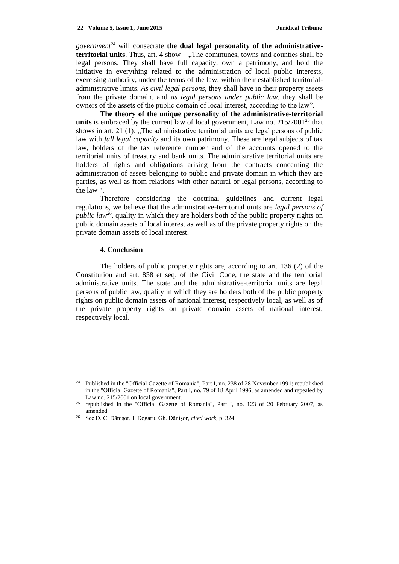*government*<sup>24</sup> will consecrate the dual legal personality of the administrative**territorial units**. Thus, art. 4 show – . The communes, towns and counties shall be legal persons. They shall have full capacity, own a patrimony, and hold the initiative in everything related to the administration of local public interests, exercising authority, under the terms of the law, within their established territorialadministrative limits. *As civil legal persons*, they shall have in their property assets from the private domain, and *as legal persons under public law*, they shall be owners of the assets of the public domain of local interest, according to the law".

**The theory of the unique personality of the administrative-territorial units** is embraced by the current law of local government. Law no.  $215/2001^{25}$  that shows in art. 21 (1):  $\Box$  The administrative territorial units are legal persons of public law with *full legal capacity* and its own patrimony. These are legal subjects of tax law, holders of the tax reference number and of the accounts opened to the territorial units of treasury and bank units. The administrative territorial units are holders of rights and obligations arising from the contracts concerning the administration of assets belonging to public and private domain in which they are parties, as well as from relations with other natural or legal persons, according to the law ".

Therefore considering the doctrinal guidelines and current legal regulations, we believe that the administrative-territorial units are *legal persons of public law<sup>26</sup>*, quality in which they are holders both of the public property rights on public domain assets of local interest as well as of the private property rights on the private domain assets of local interest.

### **4. Conclusion**

 $\overline{a}$ 

The holders of public property rights are, according to art. 136 (2) of the Constitution and art. 858 et seq. of the Civil Code, the state and the territorial administrative units. The state and the administrative-territorial units are legal persons of public law, quality in which they are holders both of the public property rights on public domain assets of national interest, respectively local, as well as of the private property rights on private domain assets of national interest, respectively local.

<sup>24</sup> Published in the "Official Gazette of Romania", Part I, no. 238 of 28 November 1991; republished in the "Official Gazette of Romania", Part I, no. 79 of 18 April 1996, as amended and repealed by Law no. 215/2001 on local government.

<sup>25</sup> republished in the "Official Gazette of Romania", Part I, no. 123 of 20 February 2007, as amended.

<sup>26</sup> See D. C. Dănişor, I. Dogaru, Gh. Dănişor, *cited work*, p. 324.